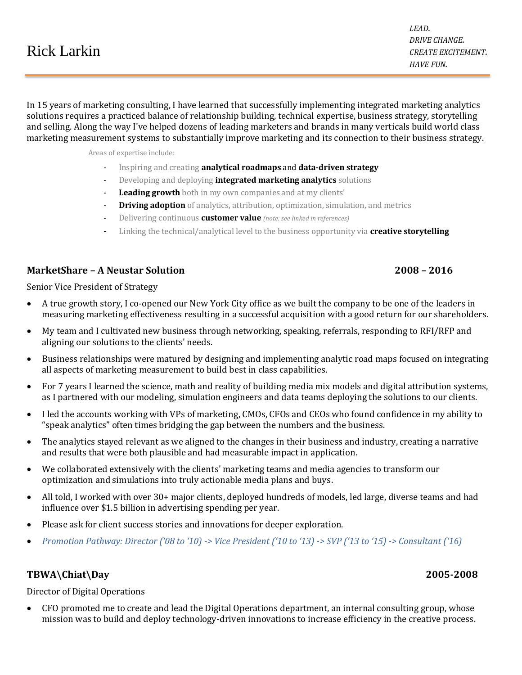|                    | <i>DRIVE CHANGE.</i>      |
|--------------------|---------------------------|
| <b>Rick Larkin</b> | <i>CREATE EXCITEMENT.</i> |
|                    | <b>HAVE FUN.</b>          |

In 15 years of marketing consulting, I have learned that successfully implementing integrated marketing analytics solutions requires a practiced balance of relationship building, technical expertise, business strategy, storytelling and selling. Along the way I've helped dozens of leading marketers and brands in many verticals build world class marketing measurement systems to substantially improve marketing and its connection to their business strategy.

Areas of expertise include:

- Inspiring and creating **analytical roadmaps** and **data-driven strategy**
- Developing and deploying **integrated marketing analytics** solutions
- **Leading growth** both in my own companies and at my clients'
- **Driving adoption** of analytics, attribution, optimization, simulation, and metrics
- Delivering continuous **customer value** *(note: see linked in references)*
- Linking the technical/analytical level to the business opportunity via **creative storytelling**

# **MarketShare – A Neustar Solution 2008 – 2016**

Senior Vice President of Strategy

- A true growth story, I co-opened our New York City office as we built the company to be one of the leaders in measuring marketing effectiveness resulting in a successful acquisition with a good return for our shareholders.
- My team and I cultivated new business through networking, speaking, referrals, responding to RFI/RFP and aligning our solutions to the clients' needs.
- Business relationships were matured by designing and implementing analytic road maps focused on integrating all aspects of marketing measurement to build best in class capabilities.
- For 7 years I learned the science, math and reality of building media mix models and digital attribution systems, as I partnered with our modeling, simulation engineers and data teams deploying the solutions to our clients.
- I led the accounts working with VPs of marketing, CMOs, CFOs and CEOs who found confidence in my ability to "speak analytics" often times bridging the gap between the numbers and the business.
- The analytics stayed relevant as we aligned to the changes in their business and industry, creating a narrative and results that were both plausible and had measurable impact in application.
- We collaborated extensively with the clients' marketing teams and media agencies to transform our optimization and simulations into truly actionable media plans and buys.
- All told, I worked with over 30+ major clients, deployed hundreds of models, led large, diverse teams and had influence over \$1.5 billion in advertising spending per year.
- Please ask for client success stories and innovations for deeper exploration.
- *Promotion Pathway: Director ('08 to '10) -> Vice President ('10 to '13) -> SVP ('13 to '15) -> Consultant ('16)*

# **TBWA\Chiat\Day 2005-2008**

Director of Digital Operations

 CFO promoted me to create and lead the Digital Operations department, an internal consulting group, whose mission was to build and deploy technology-driven innovations to increase efficiency in the creative process.

*LEAD.*